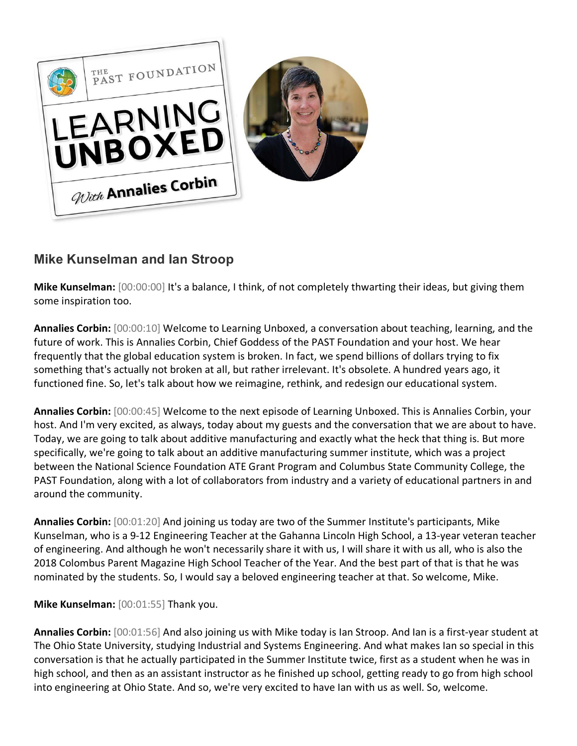

## **Mike Kunselman and Ian Stroop**

**Mike Kunselman:** [00:00:00] It's a balance, I think, of not completely thwarting their ideas, but giving them some inspiration too.

**Annalies Corbin:** [00:00:10] Welcome to Learning Unboxed, a conversation about teaching, learning, and the future of work. This is Annalies Corbin, Chief Goddess of the PAST Foundation and your host. We hear frequently that the global education system is broken. In fact, we spend billions of dollars trying to fix something that's actually not broken at all, but rather irrelevant. It's obsolete. A hundred years ago, it functioned fine. So, let's talk about how we reimagine, rethink, and redesign our educational system.

**Annalies Corbin:** [00:00:45] Welcome to the next episode of Learning Unboxed. This is Annalies Corbin, your host. And I'm very excited, as always, today about my guests and the conversation that we are about to have. Today, we are going to talk about additive manufacturing and exactly what the heck that thing is. But more specifically, we're going to talk about an additive manufacturing summer institute, which was a project between the National Science Foundation ATE Grant Program and Columbus State Community College, the PAST Foundation, along with a lot of collaborators from industry and a variety of educational partners in and around the community.

**Annalies Corbin:** [00:01:20] And joining us today are two of the Summer Institute's participants, Mike Kunselman, who is a 9-12 Engineering Teacher at the Gahanna Lincoln High School, a 13-year veteran teacher of engineering. And although he won't necessarily share it with us, I will share it with us all, who is also the 2018 Colombus Parent Magazine High School Teacher of the Year. And the best part of that is that he was nominated by the students. So, I would say a beloved engineering teacher at that. So welcome, Mike.

**Mike Kunselman:** [00:01:55] Thank you.

**Annalies Corbin:** [00:01:56] And also joining us with Mike today is Ian Stroop. And Ian is a first-year student at The Ohio State University, studying Industrial and Systems Engineering. And what makes Ian so special in this conversation is that he actually participated in the Summer Institute twice, first as a student when he was in high school, and then as an assistant instructor as he finished up school, getting ready to go from high school into engineering at Ohio State. And so, we're very excited to have Ian with us as well. So, welcome.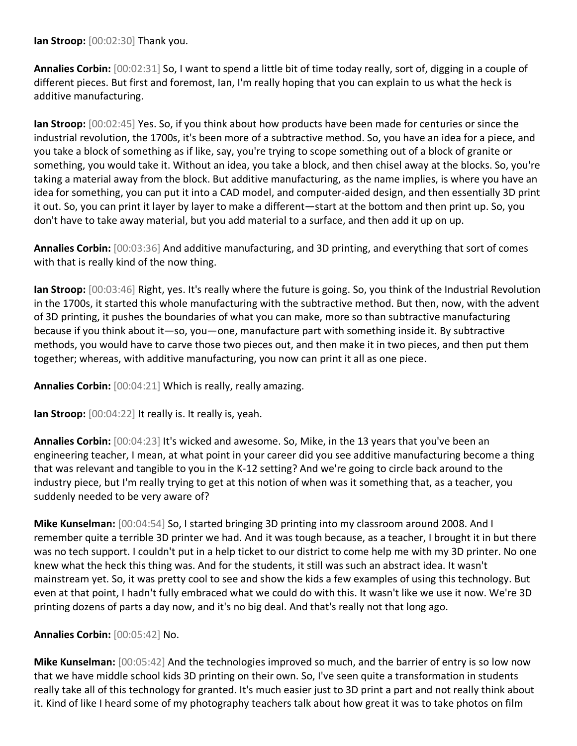**Ian Stroop:** [00:02:30] Thank you.

**Annalies Corbin:** [00:02:31] So, I want to spend a little bit of time today really, sort of, digging in a couple of different pieces. But first and foremost, Ian, I'm really hoping that you can explain to us what the heck is additive manufacturing.

**Ian Stroop:** [00:02:45] Yes. So, if you think about how products have been made for centuries or since the industrial revolution, the 1700s, it's been more of a subtractive method. So, you have an idea for a piece, and you take a block of something as if like, say, you're trying to scope something out of a block of granite or something, you would take it. Without an idea, you take a block, and then chisel away at the blocks. So, you're taking a material away from the block. But additive manufacturing, as the name implies, is where you have an idea for something, you can put it into a CAD model, and computer-aided design, and then essentially 3D print it out. So, you can print it layer by layer to make a different—start at the bottom and then print up. So, you don't have to take away material, but you add material to a surface, and then add it up on up.

**Annalies Corbin:** [00:03:36] And additive manufacturing, and 3D printing, and everything that sort of comes with that is really kind of the now thing.

**Ian Stroop:** [00:03:46] Right, yes. It's really where the future is going. So, you think of the Industrial Revolution in the 1700s, it started this whole manufacturing with the subtractive method. But then, now, with the advent of 3D printing, it pushes the boundaries of what you can make, more so than subtractive manufacturing because if you think about it—so, you—one, manufacture part with something inside it. By subtractive methods, you would have to carve those two pieces out, and then make it in two pieces, and then put them together; whereas, with additive manufacturing, you now can print it all as one piece.

**Annalies Corbin:** [00:04:21] Which is really, really amazing.

**Ian Stroop:** [00:04:22] It really is. It really is, yeah.

**Annalies Corbin:** [00:04:23] It's wicked and awesome. So, Mike, in the 13 years that you've been an engineering teacher, I mean, at what point in your career did you see additive manufacturing become a thing that was relevant and tangible to you in the K-12 setting? And we're going to circle back around to the industry piece, but I'm really trying to get at this notion of when was it something that, as a teacher, you suddenly needed to be very aware of?

**Mike Kunselman:** [00:04:54] So, I started bringing 3D printing into my classroom around 2008. And I remember quite a terrible 3D printer we had. And it was tough because, as a teacher, I brought it in but there was no tech support. I couldn't put in a help ticket to our district to come help me with my 3D printer. No one knew what the heck this thing was. And for the students, it still was such an abstract idea. It wasn't mainstream yet. So, it was pretty cool to see and show the kids a few examples of using this technology. But even at that point, I hadn't fully embraced what we could do with this. It wasn't like we use it now. We're 3D printing dozens of parts a day now, and it's no big deal. And that's really not that long ago.

## **Annalies Corbin:** [00:05:42] No.

**Mike Kunselman:** [00:05:42] And the technologies improved so much, and the barrier of entry is so low now that we have middle school kids 3D printing on their own. So, I've seen quite a transformation in students really take all of this technology for granted. It's much easier just to 3D print a part and not really think about it. Kind of like I heard some of my photography teachers talk about how great it was to take photos on film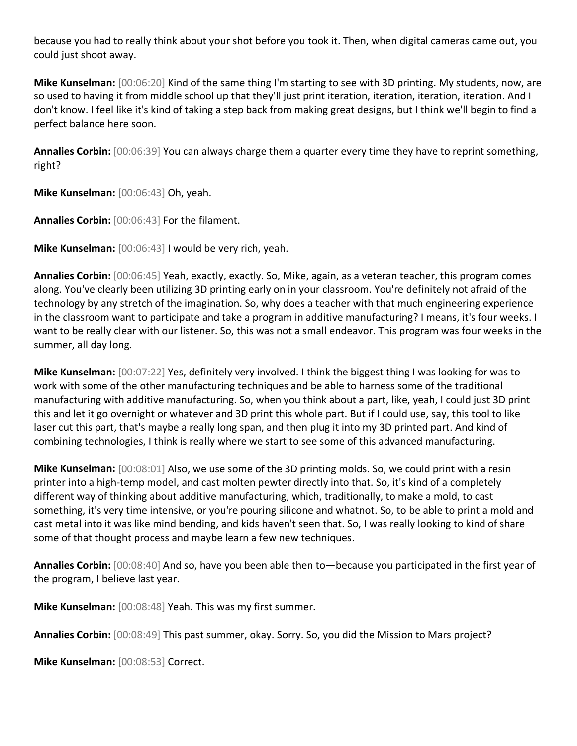because you had to really think about your shot before you took it. Then, when digital cameras came out, you could just shoot away.

**Mike Kunselman:** [00:06:20] Kind of the same thing I'm starting to see with 3D printing. My students, now, are so used to having it from middle school up that they'll just print iteration, iteration, iteration, iteration. And I don't know. I feel like it's kind of taking a step back from making great designs, but I think we'll begin to find a perfect balance here soon.

**Annalies Corbin:** [00:06:39] You can always charge them a quarter every time they have to reprint something, right?

**Mike Kunselman:** [00:06:43] Oh, yeah.

**Annalies Corbin:** [00:06:43] For the filament.

**Mike Kunselman:** [00:06:43] I would be very rich, yeah.

**Annalies Corbin:** [00:06:45] Yeah, exactly, exactly. So, Mike, again, as a veteran teacher, this program comes along. You've clearly been utilizing 3D printing early on in your classroom. You're definitely not afraid of the technology by any stretch of the imagination. So, why does a teacher with that much engineering experience in the classroom want to participate and take a program in additive manufacturing? I means, it's four weeks. I want to be really clear with our listener. So, this was not a small endeavor. This program was four weeks in the summer, all day long.

**Mike Kunselman:** [00:07:22] Yes, definitely very involved. I think the biggest thing I was looking for was to work with some of the other manufacturing techniques and be able to harness some of the traditional manufacturing with additive manufacturing. So, when you think about a part, like, yeah, I could just 3D print this and let it go overnight or whatever and 3D print this whole part. But if I could use, say, this tool to like laser cut this part, that's maybe a really long span, and then plug it into my 3D printed part. And kind of combining technologies, I think is really where we start to see some of this advanced manufacturing.

**Mike Kunselman:** [00:08:01] Also, we use some of the 3D printing molds. So, we could print with a resin printer into a high-temp model, and cast molten pewter directly into that. So, it's kind of a completely different way of thinking about additive manufacturing, which, traditionally, to make a mold, to cast something, it's very time intensive, or you're pouring silicone and whatnot. So, to be able to print a mold and cast metal into it was like mind bending, and kids haven't seen that. So, I was really looking to kind of share some of that thought process and maybe learn a few new techniques.

**Annalies Corbin:** [00:08:40] And so, have you been able then to—because you participated in the first year of the program, I believe last year.

**Mike Kunselman:** [00:08:48] Yeah. This was my first summer.

**Annalies Corbin:** [00:08:49] This past summer, okay. Sorry. So, you did the Mission to Mars project?

**Mike Kunselman:** [00:08:53] Correct.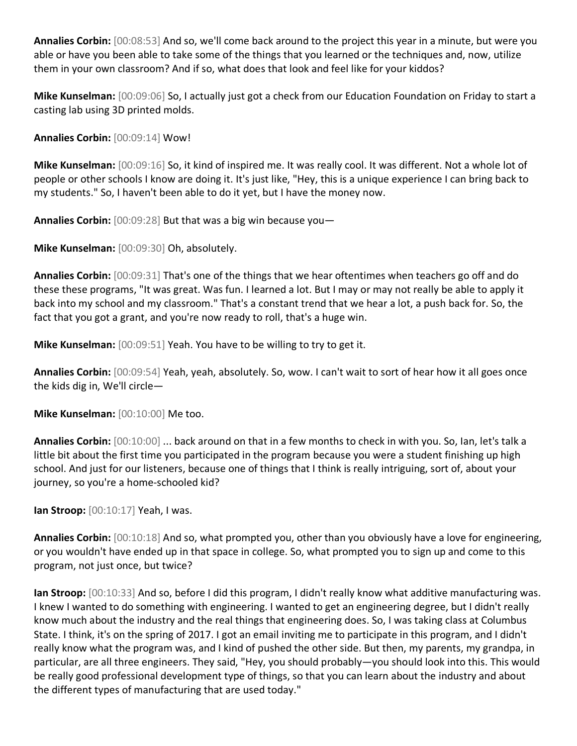**Annalies Corbin:** [00:08:53] And so, we'll come back around to the project this year in a minute, but were you able or have you been able to take some of the things that you learned or the techniques and, now, utilize them in your own classroom? And if so, what does that look and feel like for your kiddos?

**Mike Kunselman:** [00:09:06] So, I actually just got a check from our Education Foundation on Friday to start a casting lab using 3D printed molds.

**Annalies Corbin:** [00:09:14] Wow!

**Mike Kunselman:** [00:09:16] So, it kind of inspired me. It was really cool. It was different. Not a whole lot of people or other schools I know are doing it. It's just like, "Hey, this is a unique experience I can bring back to my students." So, I haven't been able to do it yet, but I have the money now.

**Annalies Corbin:** [00:09:28] But that was a big win because you—

**Mike Kunselman:** [00:09:30] Oh, absolutely.

**Annalies Corbin:** [00:09:31] That's one of the things that we hear oftentimes when teachers go off and do these these programs, "It was great. Was fun. I learned a lot. But I may or may not really be able to apply it back into my school and my classroom." That's a constant trend that we hear a lot, a push back for. So, the fact that you got a grant, and you're now ready to roll, that's a huge win.

**Mike Kunselman:** [00:09:51] Yeah. You have to be willing to try to get it.

**Annalies Corbin:** [00:09:54] Yeah, yeah, absolutely. So, wow. I can't wait to sort of hear how it all goes once the kids dig in, We'll circle—

**Mike Kunselman:** [00:10:00] Me too.

**Annalies Corbin:** [00:10:00] ... back around on that in a few months to check in with you. So, Ian, let's talk a little bit about the first time you participated in the program because you were a student finishing up high school. And just for our listeners, because one of things that I think is really intriguing, sort of, about your journey, so you're a home-schooled kid?

**Ian Stroop:** [00:10:17] Yeah, I was.

**Annalies Corbin:** [00:10:18] And so, what prompted you, other than you obviously have a love for engineering, or you wouldn't have ended up in that space in college. So, what prompted you to sign up and come to this program, not just once, but twice?

**Ian Stroop:** [00:10:33] And so, before I did this program, I didn't really know what additive manufacturing was. I knew I wanted to do something with engineering. I wanted to get an engineering degree, but I didn't really know much about the industry and the real things that engineering does. So, I was taking class at Columbus State. I think, it's on the spring of 2017. I got an email inviting me to participate in this program, and I didn't really know what the program was, and I kind of pushed the other side. But then, my parents, my grandpa, in particular, are all three engineers. They said, "Hey, you should probably—you should look into this. This would be really good professional development type of things, so that you can learn about the industry and about the different types of manufacturing that are used today."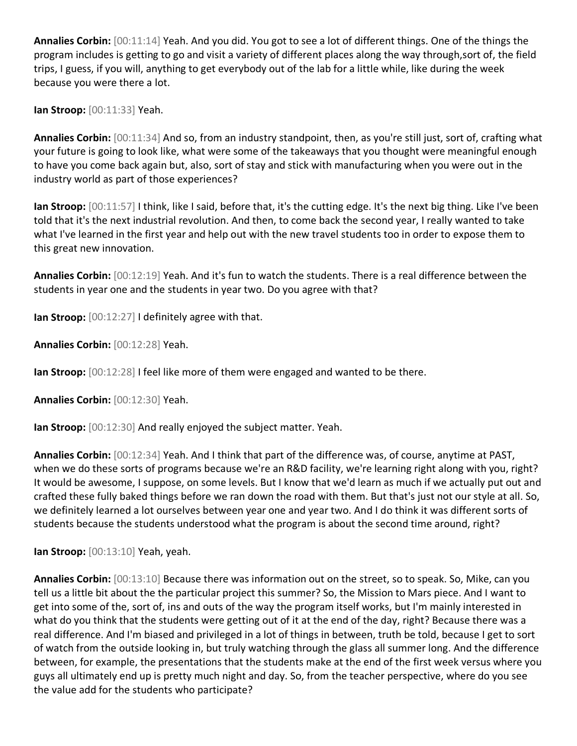**Annalies Corbin:** [00:11:14] Yeah. And you did. You got to see a lot of different things. One of the things the program includes is getting to go and visit a variety of different places along the way through,sort of, the field trips, I guess, if you will, anything to get everybody out of the lab for a little while, like during the week because you were there a lot.

**Ian Stroop:** [00:11:33] Yeah.

**Annalies Corbin:** [00:11:34] And so, from an industry standpoint, then, as you're still just, sort of, crafting what your future is going to look like, what were some of the takeaways that you thought were meaningful enough to have you come back again but, also, sort of stay and stick with manufacturing when you were out in the industry world as part of those experiences?

**Ian Stroop:** [00:11:57] I think, like I said, before that, it's the cutting edge. It's the next big thing. Like I've been told that it's the next industrial revolution. And then, to come back the second year, I really wanted to take what I've learned in the first year and help out with the new travel students too in order to expose them to this great new innovation.

**Annalies Corbin:** [00:12:19] Yeah. And it's fun to watch the students. There is a real difference between the students in year one and the students in year two. Do you agree with that?

**Ian Stroop:** [00:12:27] I definitely agree with that.

**Annalies Corbin:** [00:12:28] Yeah.

**Ian Stroop:** [00:12:28] I feel like more of them were engaged and wanted to be there.

**Annalies Corbin:** [00:12:30] Yeah.

**Ian Stroop:** [00:12:30] And really enjoyed the subject matter. Yeah.

**Annalies Corbin:** [00:12:34] Yeah. And I think that part of the difference was, of course, anytime at PAST, when we do these sorts of programs because we're an R&D facility, we're learning right along with you, right? It would be awesome, I suppose, on some levels. But I know that we'd learn as much if we actually put out and crafted these fully baked things before we ran down the road with them. But that's just not our style at all. So, we definitely learned a lot ourselves between year one and year two. And I do think it was different sorts of students because the students understood what the program is about the second time around, right?

**Ian Stroop:** [00:13:10] Yeah, yeah.

**Annalies Corbin:** [00:13:10] Because there was information out on the street, so to speak. So, Mike, can you tell us a little bit about the the particular project this summer? So, the Mission to Mars piece. And I want to get into some of the, sort of, ins and outs of the way the program itself works, but I'm mainly interested in what do you think that the students were getting out of it at the end of the day, right? Because there was a real difference. And I'm biased and privileged in a lot of things in between, truth be told, because I get to sort of watch from the outside looking in, but truly watching through the glass all summer long. And the difference between, for example, the presentations that the students make at the end of the first week versus where you guys all ultimately end up is pretty much night and day. So, from the teacher perspective, where do you see the value add for the students who participate?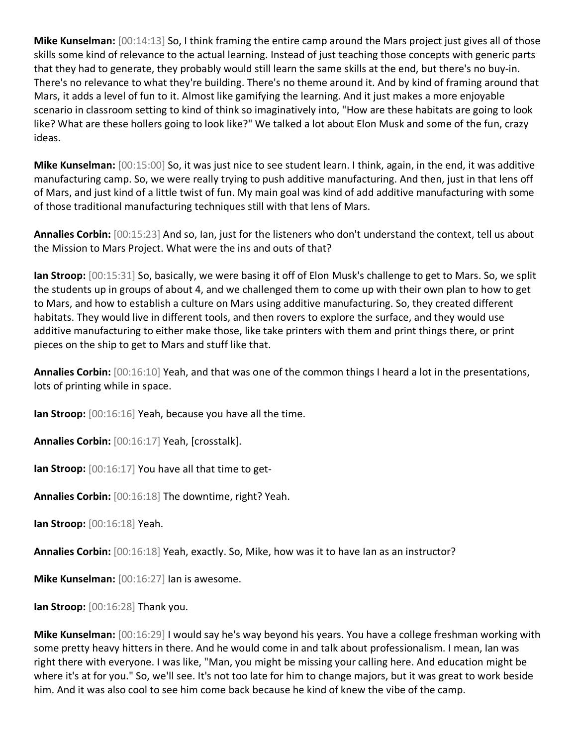**Mike Kunselman:** [00:14:13] So, I think framing the entire camp around the Mars project just gives all of those skills some kind of relevance to the actual learning. Instead of just teaching those concepts with generic parts that they had to generate, they probably would still learn the same skills at the end, but there's no buy-in. There's no relevance to what they're building. There's no theme around it. And by kind of framing around that Mars, it adds a level of fun to it. Almost like gamifying the learning. And it just makes a more enjoyable scenario in classroom setting to kind of think so imaginatively into, "How are these habitats are going to look like? What are these hollers going to look like?" We talked a lot about Elon Musk and some of the fun, crazy ideas.

**Mike Kunselman:** [00:15:00] So, it was just nice to see student learn. I think, again, in the end, it was additive manufacturing camp. So, we were really trying to push additive manufacturing. And then, just in that lens off of Mars, and just kind of a little twist of fun. My main goal was kind of add additive manufacturing with some of those traditional manufacturing techniques still with that lens of Mars.

**Annalies Corbin:** [00:15:23] And so, Ian, just for the listeners who don't understand the context, tell us about the Mission to Mars Project. What were the ins and outs of that?

**Ian Stroop:** [00:15:31] So, basically, we were basing it off of Elon Musk's challenge to get to Mars. So, we split the students up in groups of about 4, and we challenged them to come up with their own plan to how to get to Mars, and how to establish a culture on Mars using additive manufacturing. So, they created different habitats. They would live in different tools, and then rovers to explore the surface, and they would use additive manufacturing to either make those, like take printers with them and print things there, or print pieces on the ship to get to Mars and stuff like that.

**Annalies Corbin:** [00:16:10] Yeah, and that was one of the common things I heard a lot in the presentations, lots of printing while in space.

**Ian Stroop:** [00:16:16] Yeah, because you have all the time.

**Annalies Corbin:** [00:16:17] Yeah, [crosstalk].

**Ian Stroop:** [00:16:17] You have all that time to get-

**Annalies Corbin:** [00:16:18] The downtime, right? Yeah.

**Ian Stroop:** [00:16:18] Yeah.

**Annalies Corbin:** [00:16:18] Yeah, exactly. So, Mike, how was it to have Ian as an instructor?

**Mike Kunselman:** [00:16:27] Ian is awesome.

**Ian Stroop:** [00:16:28] Thank you.

**Mike Kunselman:** [00:16:29] I would say he's way beyond his years. You have a college freshman working with some pretty heavy hitters in there. And he would come in and talk about professionalism. I mean, Ian was right there with everyone. I was like, "Man, you might be missing your calling here. And education might be where it's at for you." So, we'll see. It's not too late for him to change majors, but it was great to work beside him. And it was also cool to see him come back because he kind of knew the vibe of the camp.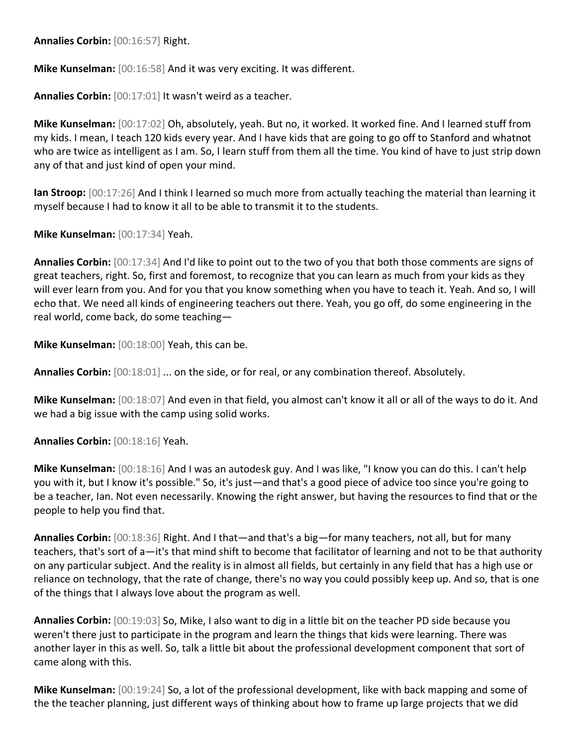**Annalies Corbin:** [00:16:57] Right.

**Mike Kunselman:** [00:16:58] And it was very exciting. It was different.

**Annalies Corbin:** [00:17:01] It wasn't weird as a teacher.

**Mike Kunselman:** [00:17:02] Oh, absolutely, yeah. But no, it worked. It worked fine. And I learned stuff from my kids. I mean, I teach 120 kids every year. And I have kids that are going to go off to Stanford and whatnot who are twice as intelligent as I am. So, I learn stuff from them all the time. You kind of have to just strip down any of that and just kind of open your mind.

**Ian Stroop:** [00:17:26] And I think I learned so much more from actually teaching the material than learning it myself because I had to know it all to be able to transmit it to the students.

**Mike Kunselman:** [00:17:34] Yeah.

**Annalies Corbin:** [00:17:34] And I'd like to point out to the two of you that both those comments are signs of great teachers, right. So, first and foremost, to recognize that you can learn as much from your kids as they will ever learn from you. And for you that you know something when you have to teach it. Yeah. And so, I will echo that. We need all kinds of engineering teachers out there. Yeah, you go off, do some engineering in the real world, come back, do some teaching—

**Mike Kunselman:** [00:18:00] Yeah, this can be.

**Annalies Corbin:** [00:18:01] ... on the side, or for real, or any combination thereof. Absolutely.

**Mike Kunselman:** [00:18:07] And even in that field, you almost can't know it all or all of the ways to do it. And we had a big issue with the camp using solid works.

**Annalies Corbin:** [00:18:16] Yeah.

**Mike Kunselman:** [00:18:16] And I was an autodesk guy. And I was like, "I know you can do this. I can't help you with it, but I know it's possible." So, it's just—and that's a good piece of advice too since you're going to be a teacher, Ian. Not even necessarily. Knowing the right answer, but having the resources to find that or the people to help you find that.

**Annalies Corbin:** [00:18:36] Right. And I that—and that's a big—for many teachers, not all, but for many teachers, that's sort of a—it's that mind shift to become that facilitator of learning and not to be that authority on any particular subject. And the reality is in almost all fields, but certainly in any field that has a high use or reliance on technology, that the rate of change, there's no way you could possibly keep up. And so, that is one of the things that I always love about the program as well.

**Annalies Corbin:** [00:19:03] So, Mike, I also want to dig in a little bit on the teacher PD side because you weren't there just to participate in the program and learn the things that kids were learning. There was another layer in this as well. So, talk a little bit about the professional development component that sort of came along with this.

**Mike Kunselman:** [00:19:24] So, a lot of the professional development, like with back mapping and some of the the teacher planning, just different ways of thinking about how to frame up large projects that we did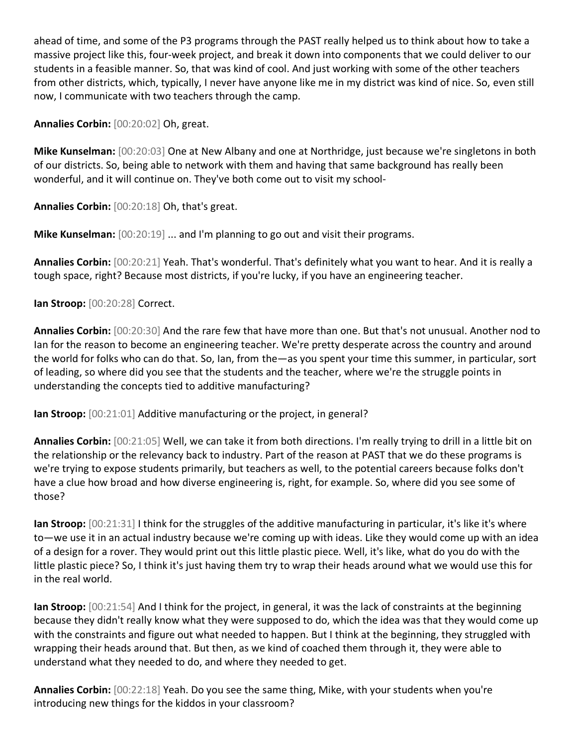ahead of time, and some of the P3 programs through the PAST really helped us to think about how to take a massive project like this, four-week project, and break it down into components that we could deliver to our students in a feasible manner. So, that was kind of cool. And just working with some of the other teachers from other districts, which, typically, I never have anyone like me in my district was kind of nice. So, even still now, I communicate with two teachers through the camp.

**Annalies Corbin:** [00:20:02] Oh, great.

**Mike Kunselman:** [00:20:03] One at New Albany and one at Northridge, just because we're singletons in both of our districts. So, being able to network with them and having that same background has really been wonderful, and it will continue on. They've both come out to visit my school-

**Annalies Corbin:** [00:20:18] Oh, that's great.

**Mike Kunselman:** [00:20:19] ... and I'm planning to go out and visit their programs.

**Annalies Corbin:** [00:20:21] Yeah. That's wonderful. That's definitely what you want to hear. And it is really a tough space, right? Because most districts, if you're lucky, if you have an engineering teacher.

**Ian Stroop:** [00:20:28] Correct.

**Annalies Corbin:** [00:20:30] And the rare few that have more than one. But that's not unusual. Another nod to Ian for the reason to become an engineering teacher. We're pretty desperate across the country and around the world for folks who can do that. So, Ian, from the—as you spent your time this summer, in particular, sort of leading, so where did you see that the students and the teacher, where we're the struggle points in understanding the concepts tied to additive manufacturing?

**Ian Stroop:** [00:21:01] Additive manufacturing or the project, in general?

**Annalies Corbin:** [00:21:05] Well, we can take it from both directions. I'm really trying to drill in a little bit on the relationship or the relevancy back to industry. Part of the reason at PAST that we do these programs is we're trying to expose students primarily, but teachers as well, to the potential careers because folks don't have a clue how broad and how diverse engineering is, right, for example. So, where did you see some of those?

**Ian Stroop:** [00:21:31] I think for the struggles of the additive manufacturing in particular, it's like it's where to—we use it in an actual industry because we're coming up with ideas. Like they would come up with an idea of a design for a rover. They would print out this little plastic piece. Well, it's like, what do you do with the little plastic piece? So, I think it's just having them try to wrap their heads around what we would use this for in the real world.

**Ian Stroop:** [00:21:54] And I think for the project, in general, it was the lack of constraints at the beginning because they didn't really know what they were supposed to do, which the idea was that they would come up with the constraints and figure out what needed to happen. But I think at the beginning, they struggled with wrapping their heads around that. But then, as we kind of coached them through it, they were able to understand what they needed to do, and where they needed to get.

**Annalies Corbin:** [00:22:18] Yeah. Do you see the same thing, Mike, with your students when you're introducing new things for the kiddos in your classroom?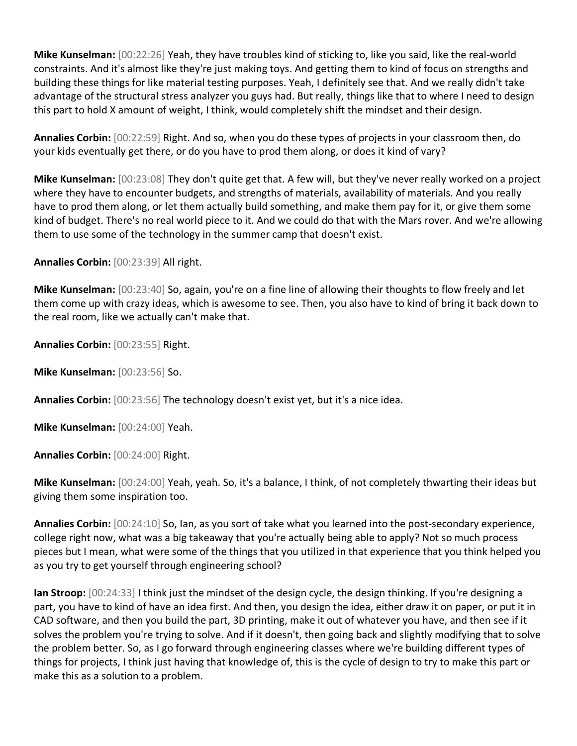**Mike Kunselman:** [00:22:26] Yeah, they have troubles kind of sticking to, like you said, like the real-world constraints. And it's almost like they're just making toys. And getting them to kind of focus on strengths and building these things for like material testing purposes. Yeah, I definitely see that. And we really didn't take advantage of the structural stress analyzer you guys had. But really, things like that to where I need to design this part to hold X amount of weight, I think, would completely shift the mindset and their design.

**Annalies Corbin:** [00:22:59] Right. And so, when you do these types of projects in your classroom then, do your kids eventually get there, or do you have to prod them along, or does it kind of vary?

**Mike Kunselman:** [00:23:08] They don't quite get that. A few will, but they've never really worked on a project where they have to encounter budgets, and strengths of materials, availability of materials. And you really have to prod them along, or let them actually build something, and make them pay for it, or give them some kind of budget. There's no real world piece to it. And we could do that with the Mars rover. And we're allowing them to use some of the technology in the summer camp that doesn't exist.

**Annalies Corbin:** [00:23:39] All right.

**Mike Kunselman:** [00:23:40] So, again, you're on a fine line of allowing their thoughts to flow freely and let them come up with crazy ideas, which is awesome to see. Then, you also have to kind of bring it back down to the real room, like we actually can't make that.

**Annalies Corbin:** [00:23:55] Right.

**Mike Kunselman:** [00:23:56] So.

**Annalies Corbin:** [00:23:56] The technology doesn't exist yet, but it's a nice idea.

**Mike Kunselman:** [00:24:00] Yeah.

**Annalies Corbin:** [00:24:00] Right.

**Mike Kunselman:** [00:24:00] Yeah, yeah. So, it's a balance, I think, of not completely thwarting their ideas but giving them some inspiration too.

**Annalies Corbin:** [00:24:10] So, Ian, as you sort of take what you learned into the post-secondary experience, college right now, what was a big takeaway that you're actually being able to apply? Not so much process pieces but I mean, what were some of the things that you utilized in that experience that you think helped you as you try to get yourself through engineering school?

**Ian Stroop:** [00:24:33] I think just the mindset of the design cycle, the design thinking. If you're designing a part, you have to kind of have an idea first. And then, you design the idea, either draw it on paper, or put it in CAD software, and then you build the part, 3D printing, make it out of whatever you have, and then see if it solves the problem you're trying to solve. And if it doesn't, then going back and slightly modifying that to solve the problem better. So, as I go forward through engineering classes where we're building different types of things for projects, I think just having that knowledge of, this is the cycle of design to try to make this part or make this as a solution to a problem.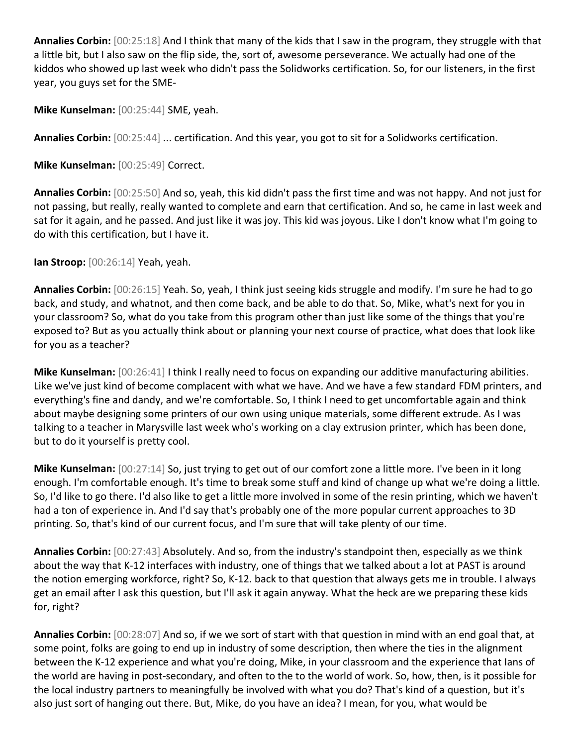**Annalies Corbin:** [00:25:18] And I think that many of the kids that I saw in the program, they struggle with that a little bit, but I also saw on the flip side, the, sort of, awesome perseverance. We actually had one of the kiddos who showed up last week who didn't pass the Solidworks certification. So, for our listeners, in the first year, you guys set for the SME-

**Mike Kunselman:** [00:25:44] SME, yeah.

**Annalies Corbin:** [00:25:44] ... certification. And this year, you got to sit for a Solidworks certification.

**Mike Kunselman:** [00:25:49] Correct.

**Annalies Corbin:** [00:25:50] And so, yeah, this kid didn't pass the first time and was not happy. And not just for not passing, but really, really wanted to complete and earn that certification. And so, he came in last week and sat for it again, and he passed. And just like it was joy. This kid was joyous. Like I don't know what I'm going to do with this certification, but I have it.

**Ian Stroop:** [00:26:14] Yeah, yeah.

**Annalies Corbin:** [00:26:15] Yeah. So, yeah, I think just seeing kids struggle and modify. I'm sure he had to go back, and study, and whatnot, and then come back, and be able to do that. So, Mike, what's next for you in your classroom? So, what do you take from this program other than just like some of the things that you're exposed to? But as you actually think about or planning your next course of practice, what does that look like for you as a teacher?

**Mike Kunselman:** [00:26:41] I think I really need to focus on expanding our additive manufacturing abilities. Like we've just kind of become complacent with what we have. And we have a few standard FDM printers, and everything's fine and dandy, and we're comfortable. So, I think I need to get uncomfortable again and think about maybe designing some printers of our own using unique materials, some different extrude. As I was talking to a teacher in Marysville last week who's working on a clay extrusion printer, which has been done, but to do it yourself is pretty cool.

**Mike Kunselman:** [00:27:14] So, just trying to get out of our comfort zone a little more. I've been in it long enough. I'm comfortable enough. It's time to break some stuff and kind of change up what we're doing a little. So, I'd like to go there. I'd also like to get a little more involved in some of the resin printing, which we haven't had a ton of experience in. And I'd say that's probably one of the more popular current approaches to 3D printing. So, that's kind of our current focus, and I'm sure that will take plenty of our time.

**Annalies Corbin:** [00:27:43] Absolutely. And so, from the industry's standpoint then, especially as we think about the way that K-12 interfaces with industry, one of things that we talked about a lot at PAST is around the notion emerging workforce, right? So, K-12. back to that question that always gets me in trouble. I always get an email after I ask this question, but I'll ask it again anyway. What the heck are we preparing these kids for, right?

**Annalies Corbin:** [00:28:07] And so, if we we sort of start with that question in mind with an end goal that, at some point, folks are going to end up in industry of some description, then where the ties in the alignment between the K-12 experience and what you're doing, Mike, in your classroom and the experience that Ians of the world are having in post-secondary, and often to the to the world of work. So, how, then, is it possible for the local industry partners to meaningfully be involved with what you do? That's kind of a question, but it's also just sort of hanging out there. But, Mike, do you have an idea? I mean, for you, what would be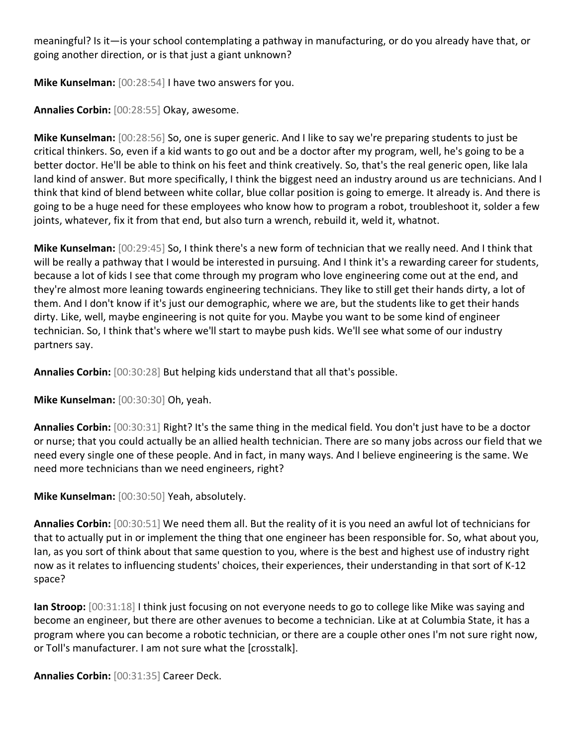meaningful? Is it—is your school contemplating a pathway in manufacturing, or do you already have that, or going another direction, or is that just a giant unknown?

**Mike Kunselman:** [00:28:54] I have two answers for you.

**Annalies Corbin:** [00:28:55] Okay, awesome.

**Mike Kunselman:** [00:28:56] So, one is super generic. And I like to say we're preparing students to just be critical thinkers. So, even if a kid wants to go out and be a doctor after my program, well, he's going to be a better doctor. He'll be able to think on his feet and think creatively. So, that's the real generic open, like lala land kind of answer. But more specifically, I think the biggest need an industry around us are technicians. And I think that kind of blend between white collar, blue collar position is going to emerge. It already is. And there is going to be a huge need for these employees who know how to program a robot, troubleshoot it, solder a few joints, whatever, fix it from that end, but also turn a wrench, rebuild it, weld it, whatnot.

**Mike Kunselman:** [00:29:45] So, I think there's a new form of technician that we really need. And I think that will be really a pathway that I would be interested in pursuing. And I think it's a rewarding career for students, because a lot of kids I see that come through my program who love engineering come out at the end, and they're almost more leaning towards engineering technicians. They like to still get their hands dirty, a lot of them. And I don't know if it's just our demographic, where we are, but the students like to get their hands dirty. Like, well, maybe engineering is not quite for you. Maybe you want to be some kind of engineer technician. So, I think that's where we'll start to maybe push kids. We'll see what some of our industry partners say.

**Annalies Corbin:** [00:30:28] But helping kids understand that all that's possible.

**Mike Kunselman:** [00:30:30] Oh, yeah.

**Annalies Corbin:** [00:30:31] Right? It's the same thing in the medical field. You don't just have to be a doctor or nurse; that you could actually be an allied health technician. There are so many jobs across our field that we need every single one of these people. And in fact, in many ways. And I believe engineering is the same. We need more technicians than we need engineers, right?

**Mike Kunselman:** [00:30:50] Yeah, absolutely.

**Annalies Corbin:** [00:30:51] We need them all. But the reality of it is you need an awful lot of technicians for that to actually put in or implement the thing that one engineer has been responsible for. So, what about you, Ian, as you sort of think about that same question to you, where is the best and highest use of industry right now as it relates to influencing students' choices, their experiences, their understanding in that sort of K-12 space?

**Ian Stroop:** [00:31:18] I think just focusing on not everyone needs to go to college like Mike was saying and become an engineer, but there are other avenues to become a technician. Like at at Columbia State, it has a program where you can become a robotic technician, or there are a couple other ones I'm not sure right now, or Toll's manufacturer. I am not sure what the [crosstalk].

**Annalies Corbin:** [00:31:35] Career Deck.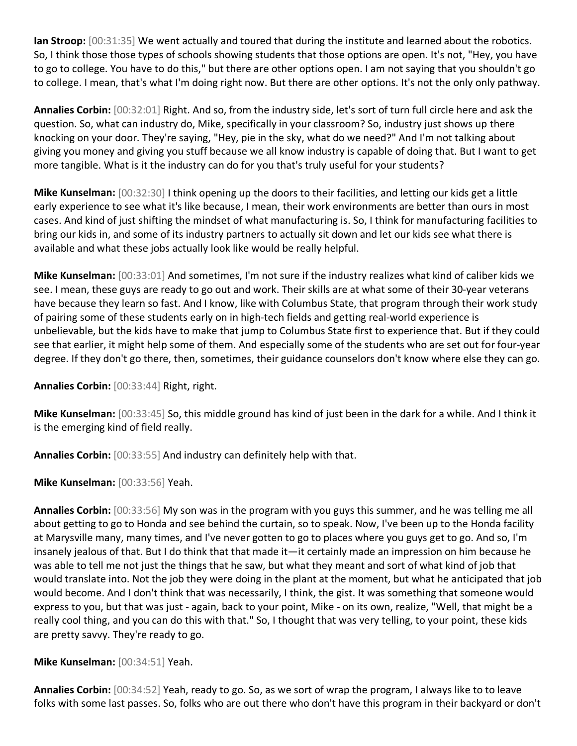**Ian Stroop:** [00:31:35] We went actually and toured that during the institute and learned about the robotics. So, I think those those types of schools showing students that those options are open. It's not, "Hey, you have to go to college. You have to do this," but there are other options open. I am not saying that you shouldn't go to college. I mean, that's what I'm doing right now. But there are other options. It's not the only only pathway.

**Annalies Corbin:** [00:32:01] Right. And so, from the industry side, let's sort of turn full circle here and ask the question. So, what can industry do, Mike, specifically in your classroom? So, industry just shows up there knocking on your door. They're saying, "Hey, pie in the sky, what do we need?" And I'm not talking about giving you money and giving you stuff because we all know industry is capable of doing that. But I want to get more tangible. What is it the industry can do for you that's truly useful for your students?

**Mike Kunselman:** [00:32:30] I think opening up the doors to their facilities, and letting our kids get a little early experience to see what it's like because, I mean, their work environments are better than ours in most cases. And kind of just shifting the mindset of what manufacturing is. So, I think for manufacturing facilities to bring our kids in, and some of its industry partners to actually sit down and let our kids see what there is available and what these jobs actually look like would be really helpful.

**Mike Kunselman:** [00:33:01] And sometimes, I'm not sure if the industry realizes what kind of caliber kids we see. I mean, these guys are ready to go out and work. Their skills are at what some of their 30-year veterans have because they learn so fast. And I know, like with Columbus State, that program through their work study of pairing some of these students early on in high-tech fields and getting real-world experience is unbelievable, but the kids have to make that jump to Columbus State first to experience that. But if they could see that earlier, it might help some of them. And especially some of the students who are set out for four-year degree. If they don't go there, then, sometimes, their guidance counselors don't know where else they can go.

**Annalies Corbin:** [00:33:44] Right, right.

**Mike Kunselman:** [00:33:45] So, this middle ground has kind of just been in the dark for a while. And I think it is the emerging kind of field really.

**Annalies Corbin:** [00:33:55] And industry can definitely help with that.

**Mike Kunselman:** [00:33:56] Yeah.

**Annalies Corbin:** [00:33:56] My son was in the program with you guys this summer, and he was telling me all about getting to go to Honda and see behind the curtain, so to speak. Now, I've been up to the Honda facility at Marysville many, many times, and I've never gotten to go to places where you guys get to go. And so, I'm insanely jealous of that. But I do think that that made it—it certainly made an impression on him because he was able to tell me not just the things that he saw, but what they meant and sort of what kind of job that would translate into. Not the job they were doing in the plant at the moment, but what he anticipated that job would become. And I don't think that was necessarily, I think, the gist. It was something that someone would express to you, but that was just - again, back to your point, Mike - on its own, realize, "Well, that might be a really cool thing, and you can do this with that." So, I thought that was very telling, to your point, these kids are pretty savvy. They're ready to go.

**Mike Kunselman:** [00:34:51] Yeah.

**Annalies Corbin:** [00:34:52] Yeah, ready to go. So, as we sort of wrap the program, I always like to to leave folks with some last passes. So, folks who are out there who don't have this program in their backyard or don't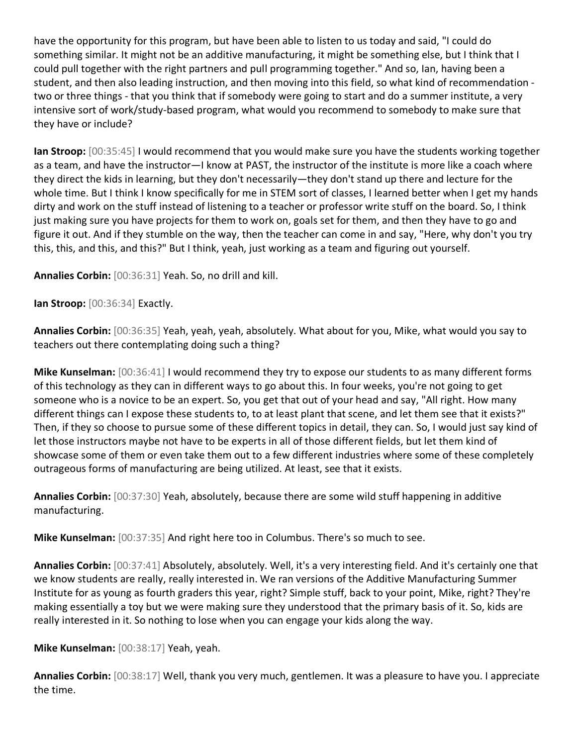have the opportunity for this program, but have been able to listen to us today and said, "I could do something similar. It might not be an additive manufacturing, it might be something else, but I think that I could pull together with the right partners and pull programming together." And so, Ian, having been a student, and then also leading instruction, and then moving into this field, so what kind of recommendation two or three things - that you think that if somebody were going to start and do a summer institute, a very intensive sort of work/study-based program, what would you recommend to somebody to make sure that they have or include?

**Ian Stroop:** [00:35:45] I would recommend that you would make sure you have the students working together as a team, and have the instructor—I know at PAST, the instructor of the institute is more like a coach where they direct the kids in learning, but they don't necessarily—they don't stand up there and lecture for the whole time. But I think I know specifically for me in STEM sort of classes, I learned better when I get my hands dirty and work on the stuff instead of listening to a teacher or professor write stuff on the board. So, I think just making sure you have projects for them to work on, goals set for them, and then they have to go and figure it out. And if they stumble on the way, then the teacher can come in and say, "Here, why don't you try this, this, and this, and this?" But I think, yeah, just working as a team and figuring out yourself.

**Annalies Corbin:** [00:36:31] Yeah. So, no drill and kill.

**Ian Stroop:** [00:36:34] Exactly.

**Annalies Corbin:** [00:36:35] Yeah, yeah, yeah, absolutely. What about for you, Mike, what would you say to teachers out there contemplating doing such a thing?

**Mike Kunselman:** [00:36:41] I would recommend they try to expose our students to as many different forms of this technology as they can in different ways to go about this. In four weeks, you're not going to get someone who is a novice to be an expert. So, you get that out of your head and say, "All right. How many different things can I expose these students to, to at least plant that scene, and let them see that it exists?" Then, if they so choose to pursue some of these different topics in detail, they can. So, I would just say kind of let those instructors maybe not have to be experts in all of those different fields, but let them kind of showcase some of them or even take them out to a few different industries where some of these completely outrageous forms of manufacturing are being utilized. At least, see that it exists.

**Annalies Corbin:** [00:37:30] Yeah, absolutely, because there are some wild stuff happening in additive manufacturing.

**Mike Kunselman:** [00:37:35] And right here too in Columbus. There's so much to see.

**Annalies Corbin:** [00:37:41] Absolutely, absolutely. Well, it's a very interesting field. And it's certainly one that we know students are really, really interested in. We ran versions of the Additive Manufacturing Summer Institute for as young as fourth graders this year, right? Simple stuff, back to your point, Mike, right? They're making essentially a toy but we were making sure they understood that the primary basis of it. So, kids are really interested in it. So nothing to lose when you can engage your kids along the way.

**Mike Kunselman:** [00:38:17] Yeah, yeah.

**Annalies Corbin:** [00:38:17] Well, thank you very much, gentlemen. It was a pleasure to have you. I appreciate the time.